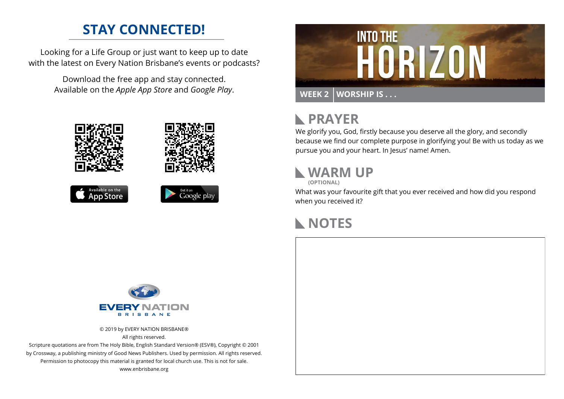### **STAY CONNECTED!**

Looking for a Life Group or just want to keep up to date with the latest on Every Nation Brisbane's events or podcasts?

> Download the free app and stay connected. Available on the *Apple App Store* and *Google Play*.











# **RAYER**

We glorify you, God, firstly because you deserve all the glory, and secondly because we find our complete purpose in glorifying you! Be with us today as we pursue you and your heart. In Jesus' name! Amen.

# **WARM UP**

**(OPTIONAL)**

What was your favourite gift that you ever received and how did you respond when you received it?

#### **NOTES**



© 2019 by EVERY NATION BRISBANE® All rights reserved.

Scripture quotations are from The Holy Bible, English Standard Version® (ESV®), Copyright © 2001 by Crossway, a publishing ministry of Good News Publishers. Used by permission. All rights reserved. Permission to photocopy this material is granted for local church use. This is not for sale. www.enbrisbane.org